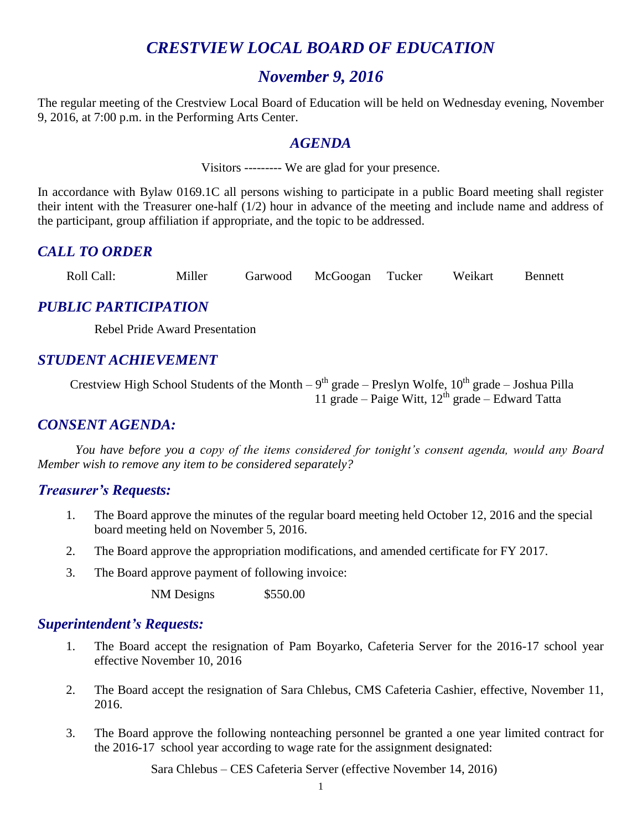# *CRESTVIEW LOCAL BOARD OF EDUCATION*

# *November 9, 2016*

The regular meeting of the Crestview Local Board of Education will be held on Wednesday evening, November 9, 2016, at 7:00 p.m. in the Performing Arts Center.

## *AGENDA*

Visitors --------- We are glad for your presence.

In accordance with Bylaw 0169.1C all persons wishing to participate in a public Board meeting shall register their intent with the Treasurer one-half (1/2) hour in advance of the meeting and include name and address of the participant, group affiliation if appropriate, and the topic to be addressed.

# *CALL TO ORDER*

Roll Call: Miller Garwood McGoogan Tucker Weikart Bennett

# *PUBLIC PARTICIPATION*

Rebel Pride Award Presentation

# *STUDENT ACHIEVEMENT*

Crestview High School Students of the Month  $-9<sup>th</sup>$  grade  $-$  Preslyn Wolfe,  $10<sup>th</sup>$  grade  $-$  Joshua Pilla 11 grade – Paige Witt,  $12^{th}$  grade – Edward Tatta

# *CONSENT AGENDA:*

*You have before you a copy of the items considered for tonight's consent agenda, would any Board Member wish to remove any item to be considered separately?*

## *Treasurer's Requests:*

- 1. The Board approve the minutes of the regular board meeting held October 12, 2016 and the special board meeting held on November 5, 2016.
- 2. The Board approve the appropriation modifications, and amended certificate for FY 2017.
- 3. The Board approve payment of following invoice:

NM Designs \$550.00

## *Superintendent's Requests:*

- 1. The Board accept the resignation of Pam Boyarko, Cafeteria Server for the 2016-17 school year effective November 10, 2016
- 2. The Board accept the resignation of Sara Chlebus, CMS Cafeteria Cashier, effective, November 11, 2016.
- 3. The Board approve the following nonteaching personnel be granted a one year limited contract for the 2016-17 school year according to wage rate for the assignment designated:

Sara Chlebus – CES Cafeteria Server (effective November 14, 2016)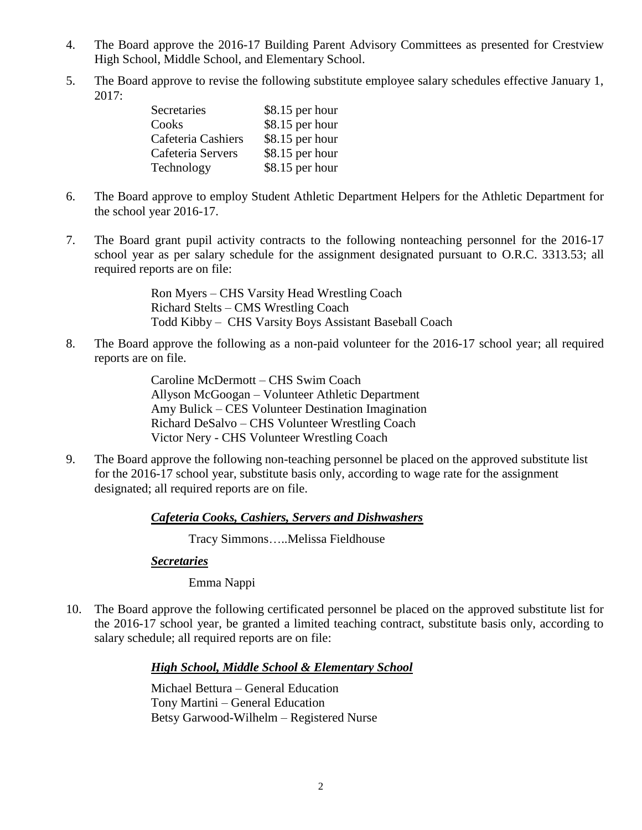- 4. The Board approve the 2016-17 Building Parent Advisory Committees as presented for Crestview High School, Middle School, and Elementary School.
- 5. The Board approve to revise the following substitute employee salary schedules effective January 1, 2017:

| $$8.15$ per hour |
|------------------|
| \$8.15 per hour  |
| \$8.15 per hour  |
| \$8.15 per hour  |
| \$8.15 per hour  |
|                  |

- 6. The Board approve to employ Student Athletic Department Helpers for the Athletic Department for the school year 2016-17.
- 7. The Board grant pupil activity contracts to the following nonteaching personnel for the 2016-17 school year as per salary schedule for the assignment designated pursuant to O.R.C. 3313.53; all required reports are on file:

Ron Myers – CHS Varsity Head Wrestling Coach Richard Stelts – CMS Wrestling Coach Todd Kibby – CHS Varsity Boys Assistant Baseball Coach

8. The Board approve the following as a non-paid volunteer for the 2016-17 school year; all required reports are on file.

> Caroline McDermott – CHS Swim Coach Allyson McGoogan – Volunteer Athletic Department Amy Bulick – CES Volunteer Destination Imagination Richard DeSalvo – CHS Volunteer Wrestling Coach Victor Nery - CHS Volunteer Wrestling Coach

9. The Board approve the following non-teaching personnel be placed on the approved substitute list for the 2016-17 school year, substitute basis only, according to wage rate for the assignment designated; all required reports are on file.

#### *Cafeteria Cooks, Cashiers, Servers and Dishwashers*

Tracy Simmons…..Melissa Fieldhouse

#### *Secretaries*

Emma Nappi

10. The Board approve the following certificated personnel be placed on the approved substitute list for the 2016-17 school year, be granted a limited teaching contract, substitute basis only, according to salary schedule; all required reports are on file:

#### *High School, Middle School & Elementary School*

Michael Bettura – General Education Tony Martini – General Education Betsy Garwood-Wilhelm – Registered Nurse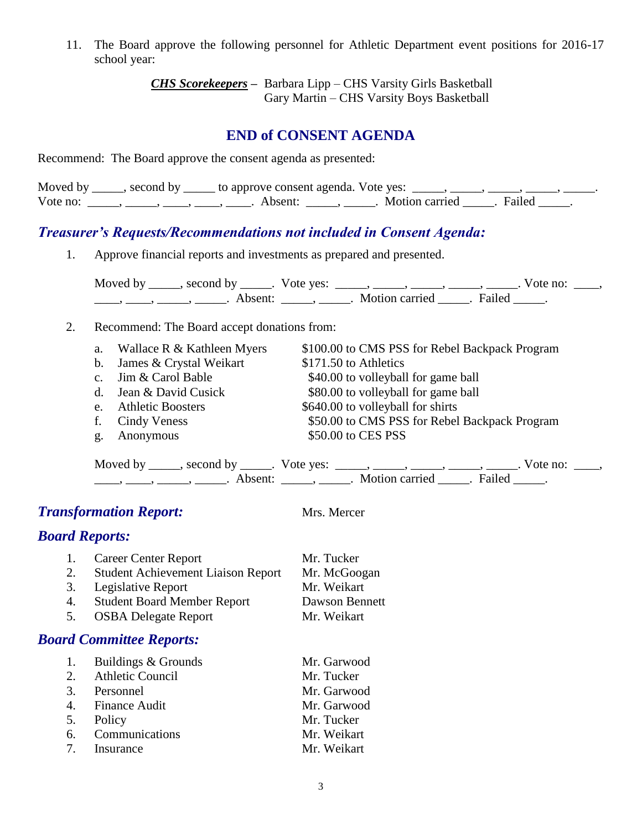11. The Board approve the following personnel for Athletic Department event positions for 2016-17 school year:

> *CHS Scorekeepers –* Barbara Lipp – CHS Varsity Girls Basketball Gary Martin – CHS Varsity Boys Basketball

# **END of CONSENT AGENDA**

Recommend: The Board approve the consent agenda as presented:

|          | Moved by _____, second by _____ to approve consent agenda. Vote yes: |                       |  |
|----------|----------------------------------------------------------------------|-----------------------|--|
| Vote no: | Absent:                                                              | Motion carried Failed |  |

# *Treasurer's Requests/Recommendations not included in Consent Agenda:*

1. Approve financial reports and investments as prepared and presented.

Moved by \_\_\_\_\_, second by \_\_\_\_\_. Vote yes:  $\_\_\_\_\_\_\_\_\_\_\_\_\_\_\_$  \_\_\_\_\_, \_\_\_\_\_, \_\_\_\_\_. Vote no:  $\_\_\_\_\_\_\$ \_\_\_\_\_, \_\_\_\_\_\_, \_\_\_\_\_\_\_. Absent: \_\_\_\_\_\_, \_\_\_\_\_\_. Motion carried \_\_\_\_\_\_. Failed \_\_\_\_\_.

#### 2. Recommend: The Board accept donations from:

|              | a. Wallace R & Kathleen Myers | \$100.00 to CMS PSS for Rebel Backpack Program |
|--------------|-------------------------------|------------------------------------------------|
|              | b. James & Crystal Weikart    | \$171.50 to Athletics                          |
|              | c. Jim & Carol Bable          | \$40.00 to volleyball for game ball            |
|              | d. Jean & David Cusick        | \$80.00 to volleyball for game ball            |
|              | e. Athletic Boosters          | \$640.00 to volleyball for shirts              |
|              | f. Cindy Veness               | \$50.00 to CMS PSS for Rebel Backpack Program  |
| $g_{\rm{L}}$ | Anonymous                     | \$50.00 to CES PSS                             |
|              |                               |                                                |

| Moved by | second by | Vote yes: |                |         | vote no: |
|----------|-----------|-----------|----------------|---------|----------|
|          | Δ heent   |           | Motion carried | Failec' |          |

# **Transformation Report:** Mrs. Mercer

*Board Reports:*

|    | 1. Career Center Report                   | Mr. Tucker     |
|----|-------------------------------------------|----------------|
| 2. | <b>Student Achievement Liaison Report</b> | Mr. McGoogan   |
|    | 3. Legislative Report                     | Mr. Weikart    |
| 4. | <b>Student Board Member Report</b>        | Dawson Bennett |
| 5. | <b>OSBA Delegate Report</b>               | Mr. Weikart    |
|    |                                           |                |

# *Board Committee Reports:*

| 1. Buildings & Grounds | Mr. Garwood |
|------------------------|-------------|
| 2. Athletic Council    | Mr. Tucker  |
| 3. Personnel           | Mr. Garwood |
| 4. Finance Audit       | Mr. Garwood |
| 5. Policy              | Mr. Tucker  |
| 6. Communications      | Mr. Weikart |
| 7. Insurance           | Mr. Weikart |